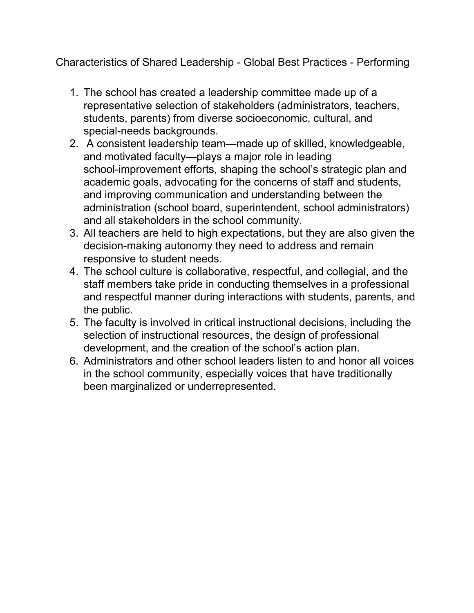Characteristics of Shared Leadership - Global Best Practices - Performing

- 1. The school has created a leadership committee made up of a representative selection of stakeholders (administrators, teachers, students, parents) from diverse socioeconomic, cultural, and special-needs backgrounds.
- 2. A consistent leadership team—made up of skilled, knowledgeable, and motivated faculty—plays a major role in leading school-improvement efforts, shaping the school's strategic plan and academic goals, advocating for the concerns of staff and students, and improving communication and understanding between the administration (school board, superintendent, school administrators) and all stakeholders in the school community.
- 3. All teachers are held to high expectations, but they are also given the decision-making autonomy they need to address and remain responsive to student needs.
- 4. The school culture is collaborative, respectful, and collegial, and the staff members take pride in conducting themselves in a professional and respectful manner during interactions with students, parents, and the public.
- 5. The faculty is involved in critical instructional decisions, including the selection of instructional resources, the design of professional development, and the creation of the school's action plan.
- 6. Administrators and other school leaders listen to and honor all voices in the school community, especially voices that have traditionally been marginalized or underrepresented.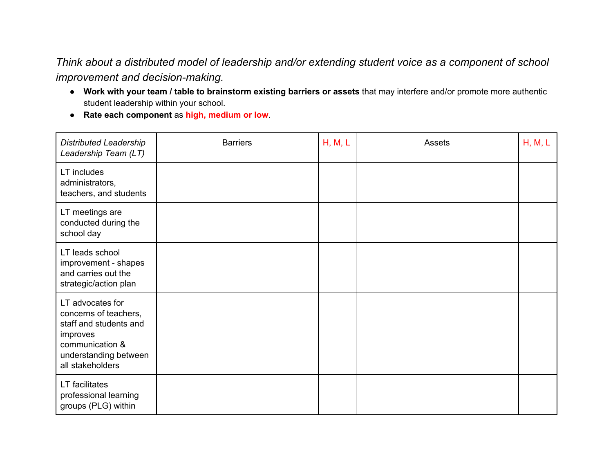## *Think about a distributed model of leadership and/or extending student voice as a component of school improvement* and *decision-making.*

- **Work with your team / table to brainstorm existing barriers or assets**that may interfere and/or promote more authentic student leadership within your school.
- **Rate each component**as **high, medium or low**.

| <b>Distributed Leadership</b><br>Leadership Team (LT)                                                                                           | <b>Barriers</b> | H, M, L | <b>Assets</b> | H, M, L |
|-------------------------------------------------------------------------------------------------------------------------------------------------|-----------------|---------|---------------|---------|
| LT includes<br>administrators,<br>teachers, and students                                                                                        |                 |         |               |         |
| LT meetings are<br>conducted during the<br>school day                                                                                           |                 |         |               |         |
| LT leads school<br>improvement - shapes<br>and carries out the<br>strategic/action plan                                                         |                 |         |               |         |
| LT advocates for<br>concerns of teachers,<br>staff and students and<br>improves<br>communication &<br>understanding between<br>all stakeholders |                 |         |               |         |
| <b>LT</b> facilitates<br>professional learning<br>groups (PLG) within                                                                           |                 |         |               |         |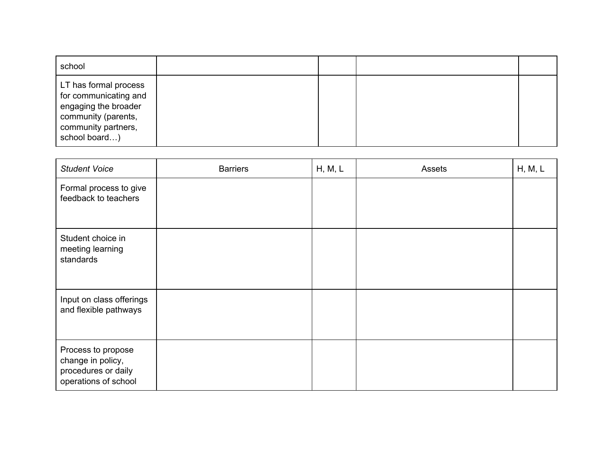| school                                                                                                                                |  |  |
|---------------------------------------------------------------------------------------------------------------------------------------|--|--|
| LT has formal process<br>for communicating and<br>engaging the broader<br>community (parents,<br>community partners,<br>school board) |  |  |

| <b>Student Voice</b>                                                                   | <b>Barriers</b> | H, M, L | Assets | H, M, L |
|----------------------------------------------------------------------------------------|-----------------|---------|--------|---------|
| Formal process to give<br>feedback to teachers                                         |                 |         |        |         |
| Student choice in<br>meeting learning<br>standards                                     |                 |         |        |         |
| Input on class offerings<br>and flexible pathways                                      |                 |         |        |         |
| Process to propose<br>change in policy,<br>procedures or daily<br>operations of school |                 |         |        |         |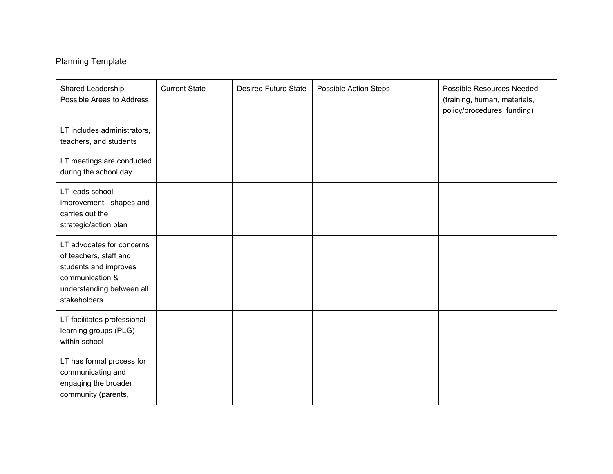## Planning Template

| Shared Leadership<br>Possible Areas to Address                                                                                               | <b>Current State</b> | <b>Desired Future State</b> | <b>Possible Action Steps</b> | <b>Possible Resources Needed</b><br>(training, human, materials,<br>policy/procedures, funding) |
|----------------------------------------------------------------------------------------------------------------------------------------------|----------------------|-----------------------------|------------------------------|-------------------------------------------------------------------------------------------------|
| LT includes administrators,<br>teachers, and students                                                                                        |                      |                             |                              |                                                                                                 |
| LT meetings are conducted<br>during the school day                                                                                           |                      |                             |                              |                                                                                                 |
| LT leads school<br>improvement - shapes and<br>carries out the<br>strategic/action plan                                                      |                      |                             |                              |                                                                                                 |
| LT advocates for concerns<br>of teachers, staff and<br>students and improves<br>communication &<br>understanding between all<br>stakeholders |                      |                             |                              |                                                                                                 |
| LT facilitates professional<br>learning groups (PLG)<br>within school                                                                        |                      |                             |                              |                                                                                                 |
| LT has formal process for<br>communicating and<br>engaging the broader<br>community (parents,                                                |                      |                             |                              |                                                                                                 |